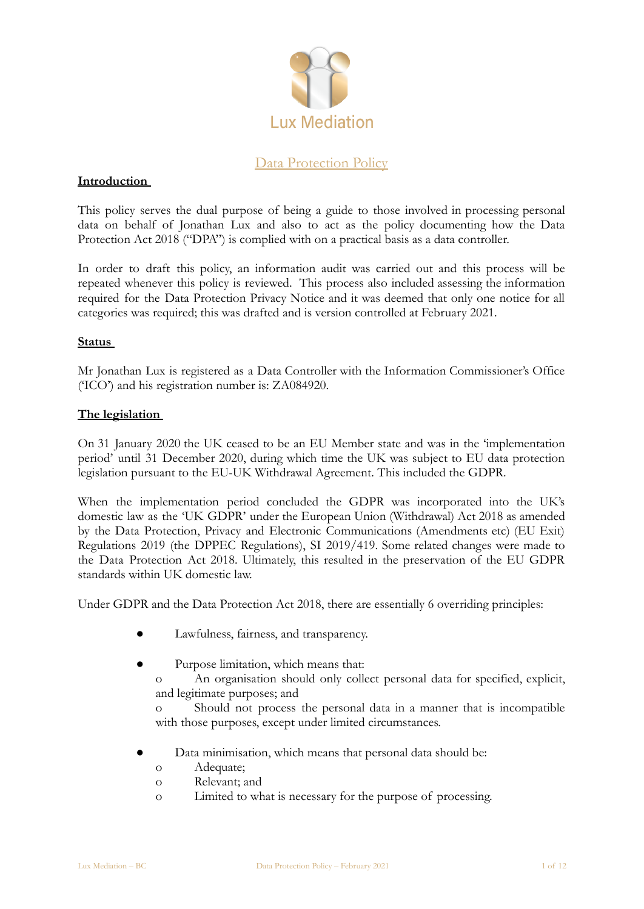

# Data Protection Policy

## **Introduction**

This policy serves the dual purpose of being a guide to those involved in processing personal data on behalf of Jonathan Lux and also to act as the policy documenting how the Data Protection Act 2018 ("DPA") is complied with on a practical basis as a data controller.

In order to draft this policy, an information audit was carried out and this process will be repeated whenever this policy is reviewed. This process also included assessing the information required for the Data Protection Privacy Notice and it was deemed that only one notice for all categories was required; this was drafted and is version controlled at February 2021.

### **Status**

Mr Jonathan Lux is registered as a Data Controller with the Information Commissioner's Office ('ICO') and his registration number is: ZA084920.

### **The legislation**

On 31 January 2020 the UK ceased to be an EU Member state and was in the 'implementation period' until 31 December 2020, during which time the UK was subject to EU data protection legislation pursuant to the EU-UK Withdrawal Agreement. This included the GDPR.

When the implementation period concluded the GDPR was incorporated into the UK's domestic law as the 'UK GDPR' under the European Union (Withdrawal) Act 2018 as amended by the Data Protection, Privacy and Electronic Communications (Amendments etc) (EU Exit) Regulations 2019 (the DPPEC Regulations), SI 2019/419. Some related changes were made to the Data Protection Act 2018. Ultimately, this resulted in the preservation of the EU GDPR standards within UK domestic law.

Under GDPR and the Data Protection Act 2018, there are essentially 6 overriding principles:

- Lawfulness, fairness, and transparency.
- Purpose limitation, which means that:
	- o An organisation should only collect personal data for specified, explicit, and legitimate purposes; and

o Should not process the personal data in a manner that is incompatible with those purposes, except under limited circumstances.

- Data minimisation, which means that personal data should be:
	- o Adequate;
	- o Relevant; and
	- o Limited to what is necessary for the purpose of processing.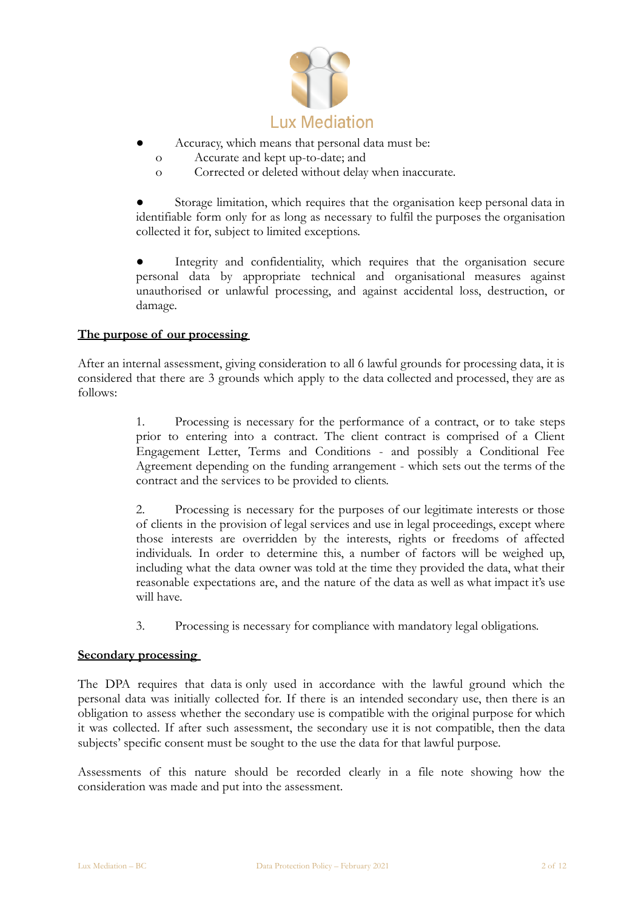

- Accuracy, which means that personal data must be:
	- o Accurate and kept up-to-date; and
	- o Corrected or deleted without delay when inaccurate.

Storage limitation, which requires that the organisation keep personal data in identifiable form only for as long as necessary to fulfil the purposes the organisation collected it for, subject to limited exceptions.

Integrity and confidentiality, which requires that the organisation secure personal data by appropriate technical and organisational measures against unauthorised or unlawful processing, and against accidental loss, destruction, or damage.

## **The purpose of our processing**

After an internal assessment, giving consideration to all 6 lawful grounds for processing data, it is considered that there are 3 grounds which apply to the data collected and processed, they are as follows:

> 1. Processing is necessary for the performance of a contract, or to take steps prior to entering into a contract. The client contract is comprised of a Client Engagement Letter, Terms and Conditions - and possibly a Conditional Fee Agreement depending on the funding arrangement - which sets out the terms of the contract and the services to be provided to clients.

> 2. Processing is necessary for the purposes of our legitimate interests or those of clients in the provision of legal services and use in legal proceedings, except where those interests are overridden by the interests, rights or freedoms of affected individuals. In order to determine this, a number of factors will be weighed up, including what the data owner was told at the time they provided the data, what their reasonable expectations are, and the nature of the data as well as what impact it's use will have.

3. Processing is necessary for compliance with mandatory legal obligations.

## **Secondary processing**

The DPA requires that data is only used in accordance with the lawful ground which the personal data was initially collected for. If there is an intended secondary use, then there is an obligation to assess whether the secondary use is compatible with the original purpose for which it was collected. If after such assessment, the secondary use it is not compatible, then the data subjects' specific consent must be sought to the use the data for that lawful purpose.

Assessments of this nature should be recorded clearly in a file note showing how the consideration was made and put into the assessment.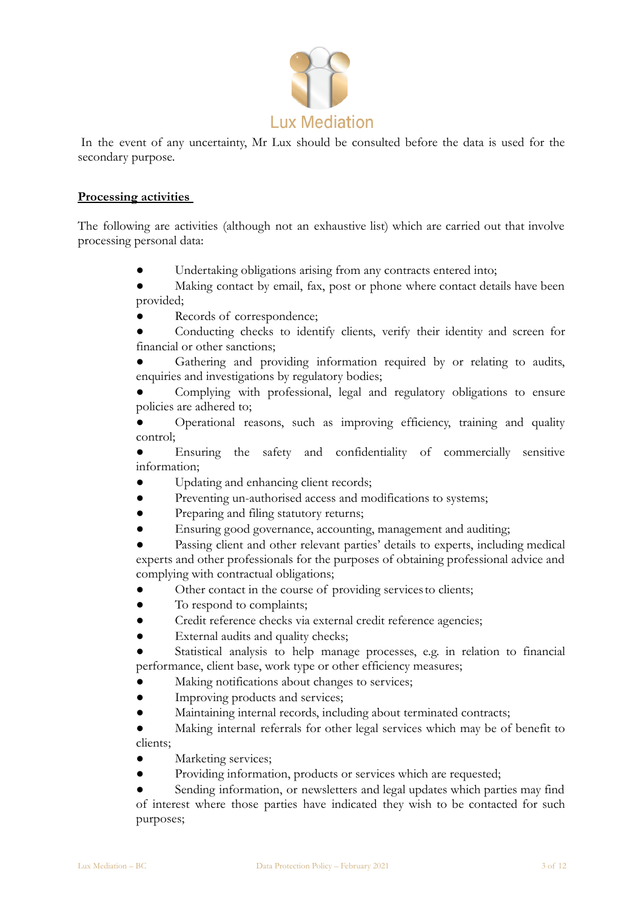

 In the event of any uncertainty, Mr Lux should be consulted before the data is used for the secondary purpose.

## **Processing activities**

The following are activities (although not an exhaustive list) which are carried out that involve processing personal data:

- Undertaking obligations arising from any contracts entered into;
- Making contact by email, fax, post or phone where contact details have been provided;
- Records of correspondence;
- Conducting checks to identify clients, verify their identity and screen for financial or other sanctions;

Gathering and providing information required by or relating to audits, enquiries and investigations by regulatory bodies;

Complying with professional, legal and regulatory obligations to ensure policies are adhered to;

Operational reasons, such as improving efficiency, training and quality control;

Ensuring the safety and confidentiality of commercially sensitive information;

- Updating and enhancing client records;
- Preventing un-authorised access and modifications to systems;
- Preparing and filing statutory returns;
- Ensuring good governance, accounting, management and auditing;

Passing client and other relevant parties' details to experts, including medical experts and other professionals for the purposes of obtaining professional advice and complying with contractual obligations;

- Other contact in the course of providing servicesto clients;
- To respond to complaints;
- Credit reference checks via external credit reference agencies;
- External audits and quality checks;

Statistical analysis to help manage processes, e.g. in relation to financial performance, client base, work type or other efficiency measures;

- Making notifications about changes to services;
- Improving products and services;
- Maintaining internal records, including about terminated contracts;

● Making internal referrals for other legal services which may be of benefit to clients;

- Marketing services;
- Providing information, products or services which are requested;

Sending information, or newsletters and legal updates which parties may find of interest where those parties have indicated they wish to be contacted for such purposes;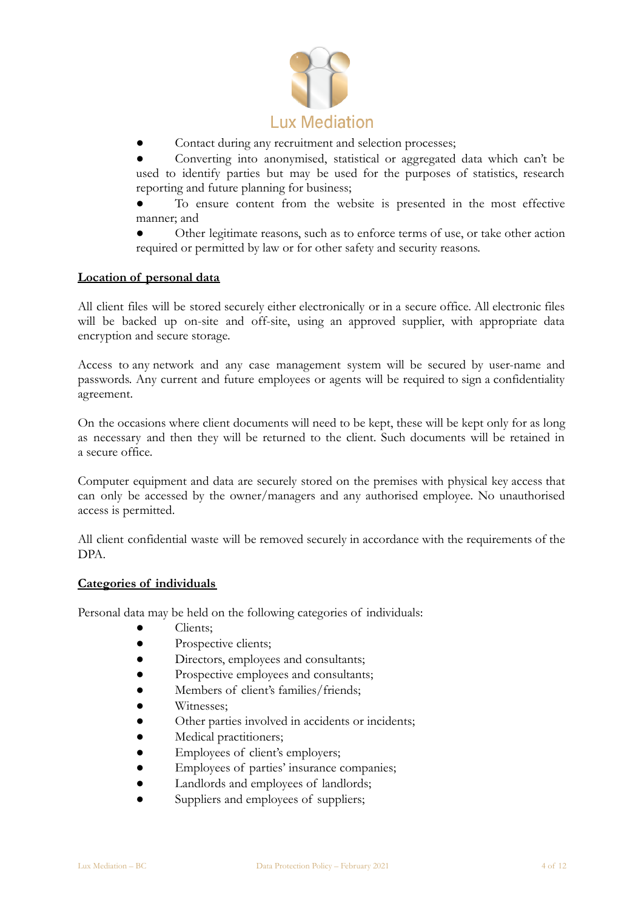

Contact during any recruitment and selection processes;

Converting into anonymised, statistical or aggregated data which can't be used to identify parties but may be used for the purposes of statistics, research reporting and future planning for business;

To ensure content from the website is presented in the most effective manner; and

Other legitimate reasons, such as to enforce terms of use, or take other action required or permitted by law or for other safety and security reasons.

## **Location of personal data**

All client files will be stored securely either electronically or in a secure office. All electronic files will be backed up on-site and off-site, using an approved supplier, with appropriate data encryption and secure storage.

Access to any network and any case management system will be secured by user-name and passwords. Any current and future employees or agents will be required to sign a confidentiality agreement.

On the occasions where client documents will need to be kept, these will be kept only for as long as necessary and then they will be returned to the client. Such documents will be retained in a secure office.

Computer equipment and data are securely stored on the premises with physical key access that can only be accessed by the owner/managers and any authorised employee. No unauthorised access is permitted.

All client confidential waste will be removed securely in accordance with the requirements of the DPA.

### **Categories of individuals**

Personal data may be held on the following categories of individuals:

- Clients;
- Prospective clients;
- Directors, employees and consultants;
- Prospective employees and consultants;
- Members of client's families/friends;
- Witnesses:
- Other parties involved in accidents or incidents;
- Medical practitioners;
- Employees of client's employers;
- Employees of parties' insurance companies;
- Landlords and employees of landlords;
- Suppliers and employees of suppliers;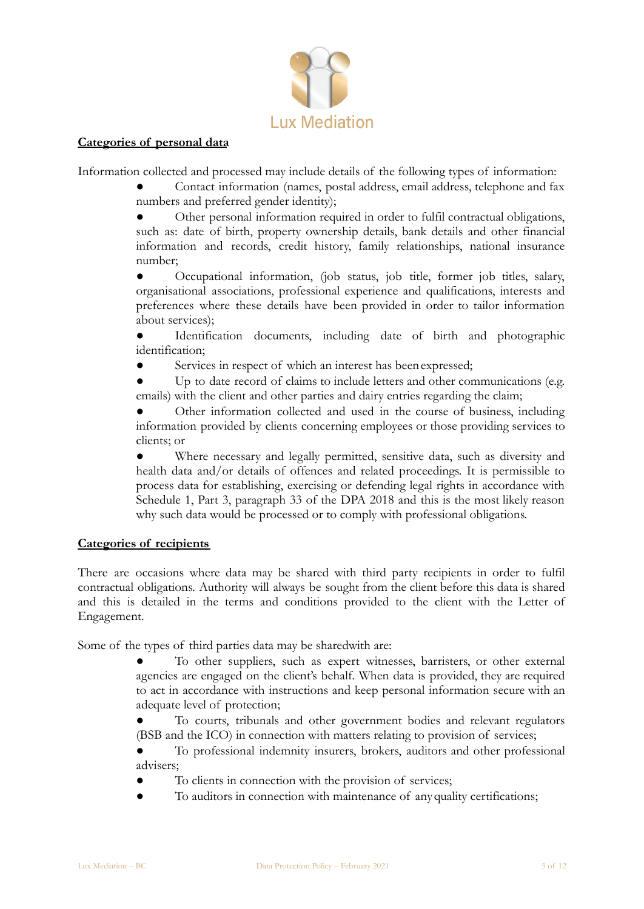

## **Categories of personal data**

Information collected and processed may include details of the following types of information:

Contact information (names, postal address, email address, telephone and fax numbers and preferred gender identity);

Other personal information required in order to fulfil contractual obligations, such as: date of birth, property ownership details, bank details and other financial information and records, credit history, family relationships, national insurance number;

Occupational information, (job status, job title, former job titles, salary, organisational associations, professional experience and qualifications, interests and preferences where these details have been provided in order to tailor information about services);

Identification documents, including date of birth and photographic identification;

Services in respect of which an interest has been expressed;

Up to date record of claims to include letters and other communications (e.g. emails) with the client and other parties and dairy entries regarding the claim;

Other information collected and used in the course of business, including information provided by clients concerning employees or those providing services to clients; or

Where necessary and legally permitted, sensitive data, such as diversity and health data and/or details of offences and related proceedings. It is permissible to process data for establishing, exercising or defending legal rights in accordance with Schedule 1, Part 3, paragraph 33 of the DPA 2018 and this is the most likely reason why such data would be processed or to comply with professional obligations.

## **Categories of recipients**

There are occasions where data may be shared with third party recipients in order to fulfil contractual obligations. Authority will always be sought from the client before this data is shared and this is detailed in the terms and conditions provided to the client with the Letter of Engagement.

Some of the types of third parties data may be sharedwith are:

- To other suppliers, such as expert witnesses, barristers, or other external agencies are engaged on the client's behalf. When data is provided, they are required to act in accordance with instructions and keep personal information secure with an adequate level of protection;
- To courts, tribunals and other government bodies and relevant regulators (BSB and the ICO) in connection with matters relating to provision of services;

To professional indemnity insurers, brokers, auditors and other professional advisers;

- To clients in connection with the provision of services;
- To auditors in connection with maintenance of anyquality certifications;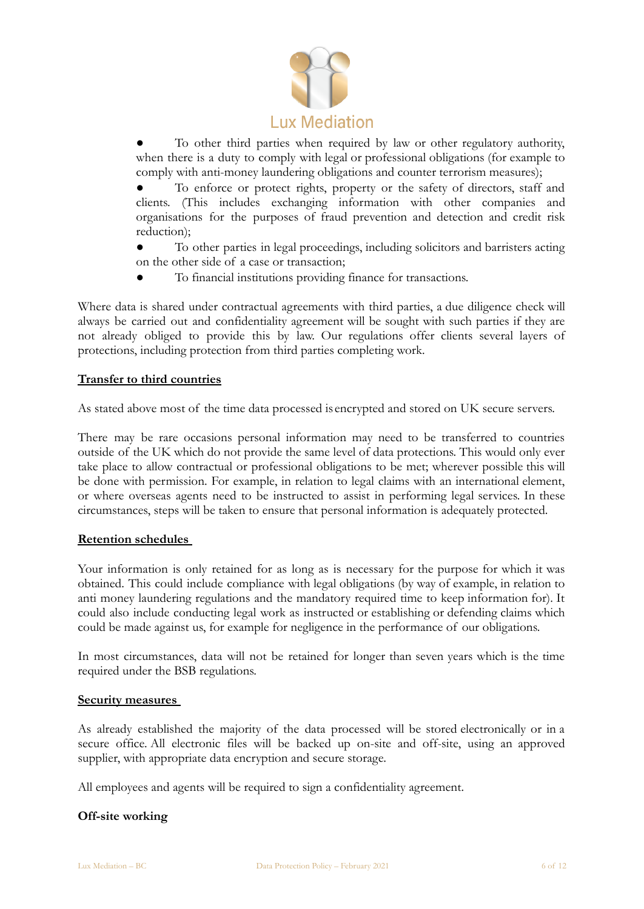

To other third parties when required by law or other regulatory authority, when there is a duty to comply with legal or professional obligations (for example to comply with anti-money laundering obligations and counter terrorism measures);

To enforce or protect rights, property or the safety of directors, staff and clients. (This includes exchanging information with other companies and organisations for the purposes of fraud prevention and detection and credit risk reduction);

To other parties in legal proceedings, including solicitors and barristers acting on the other side of a case or transaction;

To financial institutions providing finance for transactions.

Where data is shared under contractual agreements with third parties, a due diligence check will always be carried out and confidentiality agreement will be sought with such parties if they are not already obliged to provide this by law. Our regulations offer clients several layers of protections, including protection from third parties completing work.

## **Transfer to third countries**

As stated above most of the time data processed is encrypted and stored on UK secure servers.

There may be rare occasions personal information may need to be transferred to countries outside of the UK which do not provide the same level of data protections. This would only ever take place to allow contractual or professional obligations to be met; wherever possible this will be done with permission. For example, in relation to legal claims with an international element, or where overseas agents need to be instructed to assist in performing legal services. In these circumstances, steps will be taken to ensure that personal information is adequately protected.

### **Retention schedules**

Your information is only retained for as long as is necessary for the purpose for which it was obtained. This could include compliance with legal obligations (by way of example, in relation to anti money laundering regulations and the mandatory required time to keep information for). It could also include conducting legal work as instructed or establishing or defending claims which could be made against us, for example for negligence in the performance of our obligations.

In most circumstances, data will not be retained for longer than seven years which is the time required under the BSB regulations.

### **Security measures**

As already established the majority of the data processed will be stored electronically or in a secure office. All electronic files will be backed up on-site and off-site, using an approved supplier, with appropriate data encryption and secure storage.

All employees and agents will be required to sign a confidentiality agreement.

## **Off-site working**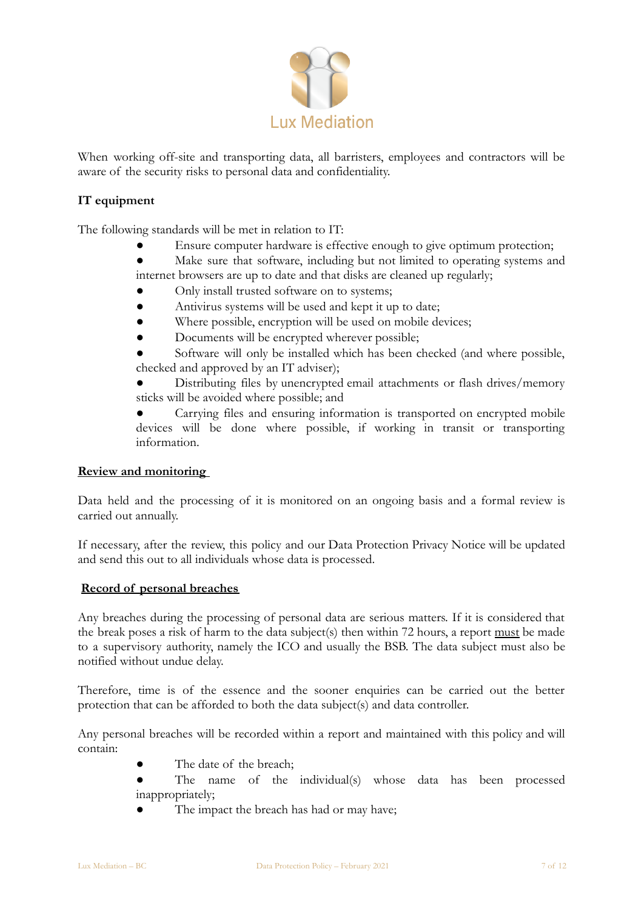

When working off-site and transporting data, all barristers, employees and contractors will be aware of the security risks to personal data and confidentiality.

# **IT equipment**

The following standards will be met in relation to IT:

Ensure computer hardware is effective enough to give optimum protection;

Make sure that software, including but not limited to operating systems and internet browsers are up to date and that disks are cleaned up regularly;

- Only install trusted software on to systems;
- Antivirus systems will be used and kept it up to date;
- Where possible, encryption will be used on mobile devices;
- Documents will be encrypted wherever possible;

Software will only be installed which has been checked (and where possible, checked and approved by an IT adviser);

Distributing files by unencrypted email attachments or flash drives/memory sticks will be avoided where possible; and

Carrying files and ensuring information is transported on encrypted mobile devices will be done where possible, if working in transit or transporting information.

### **Review and monitoring**

Data held and the processing of it is monitored on an ongoing basis and a formal review is carried out annually.

If necessary, after the review, this policy and our Data Protection Privacy Notice will be updated and send this out to all individuals whose data is processed.

### **Record of personal breaches**

Any breaches during the processing of personal data are serious matters. If it is considered that the break poses a risk of harm to the data subject(s) then within 72 hours, a report must be made to a supervisory authority, namely the ICO and usually the BSB. The data subject must also be notified without undue delay.

Therefore, time is of the essence and the sooner enquiries can be carried out the better protection that can be afforded to both the data subject(s) and data controller.

Any personal breaches will be recorded within a report and maintained with this policy and will contain:

- The date of the breach;
- The name of the individual(s) whose data has been processed inappropriately;
- The impact the breach has had or may have;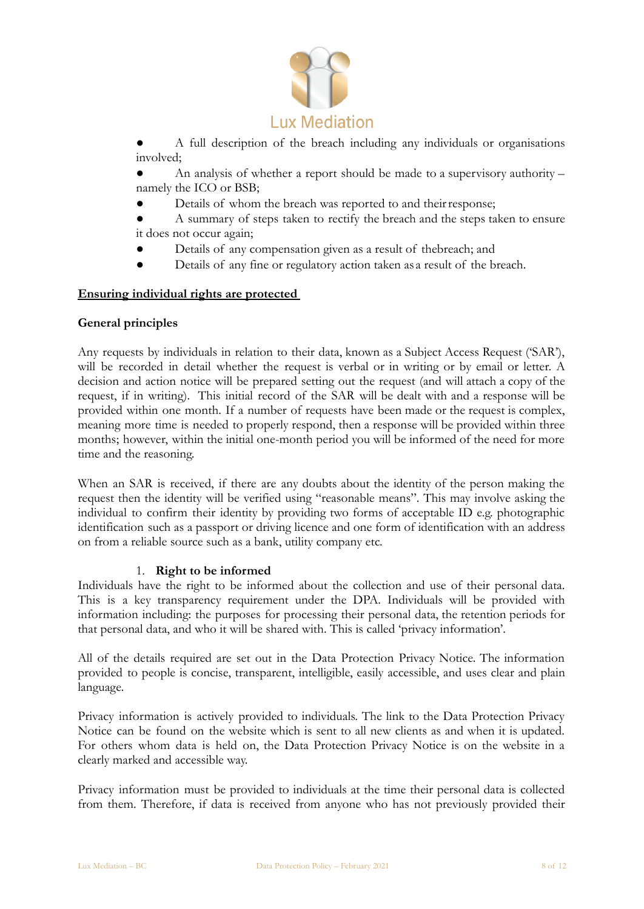

A full description of the breach including any individuals or organisations involved;

An analysis of whether a report should be made to a supervisory authority – namely the ICO or BSB;

Details of whom the breach was reported to and their response;

A summary of steps taken to rectify the breach and the steps taken to ensure it does not occur again;

- Details of any compensation given as a result of thebreach; and
- Details of any fine or regulatory action taken as a result of the breach.

### **Ensuring individual rights are protected**

### **General principles**

Any requests by individuals in relation to their data, known as a Subject Access Request ('SAR'), will be recorded in detail whether the request is verbal or in writing or by email or letter. A decision and action notice will be prepared setting out the request (and will attach a copy of the request, if in writing). This initial record of the SAR will be dealt with and a response will be provided within one month. If a number of requests have been made or the request is complex, meaning more time is needed to properly respond, then a response will be provided within three months; however, within the initial one-month period you will be informed of the need for more time and the reasoning.

When an SAR is received, if there are any doubts about the identity of the person making the request then the identity will be verified using "reasonable means". This may involve asking the individual to confirm their identity by providing two forms of acceptable ID e.g. photographic identification such as a passport or driving licence and one form of identification with an address on from a reliable source such as a bank, utility company etc.

## 1. **Right to be informed**

Individuals have the right to be informed about the collection and use of their personal data. This is a key transparency requirement under the DPA. Individuals will be provided with information including: the purposes for processing their personal data, the retention periods for that personal data, and who it will be shared with. This is called 'privacy information'.

All of the details required are set out in the Data Protection Privacy Notice. The information provided to people is concise, transparent, intelligible, easily accessible, and uses clear and plain language.

Privacy information is actively provided to individuals. The link to the Data Protection Privacy Notice can be found on the website which is sent to all new clients as and when it is updated. For others whom data is held on, the Data Protection Privacy Notice is on the website in a clearly marked and accessible way.

Privacy information must be provided to individuals at the time their personal data is collected from them. Therefore, if data is received from anyone who has not previously provided their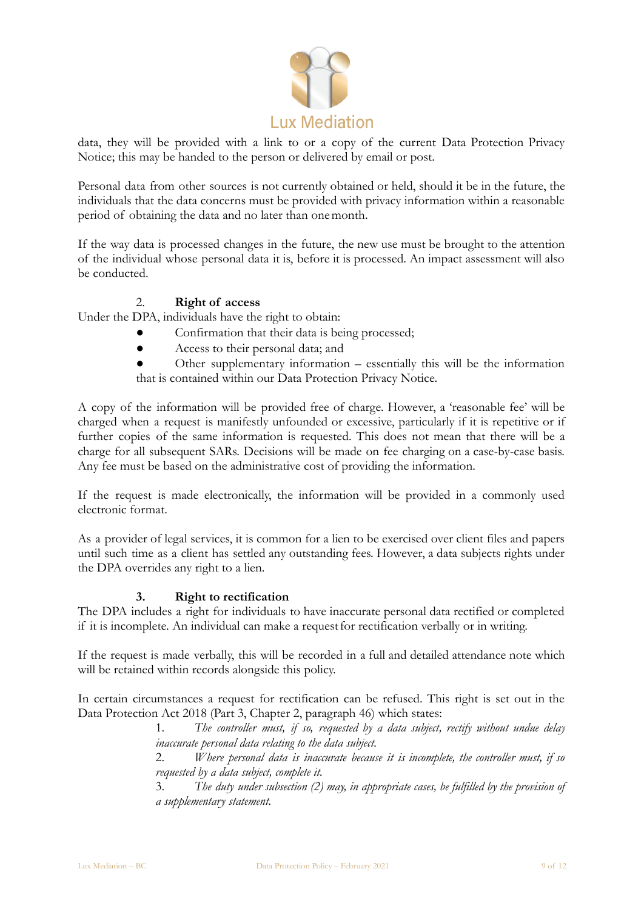

data, they will be provided with a link to or a copy of the current Data Protection Privacy Notice; this may be handed to the person or delivered by email or post.

Personal data from other sources is not currently obtained or held, should it be in the future, the individuals that the data concerns must be provided with privacy information within a reasonable period of obtaining the data and no later than onemonth.

If the way data is processed changes in the future, the new use must be brought to the attention of the individual whose personal data it is, before it is processed. An impact assessment will also be conducted.

# 2. **Right of access**

Under the DPA, individuals have the right to obtain:

- Confirmation that their data is being processed;
- Access to their personal data; and
- Other supplementary information essentially this will be the information that is contained within our Data Protection Privacy Notice.

A copy of the information will be provided free of charge. However, a 'reasonable fee' will be charged when a request is manifestly unfounded or excessive, particularly if it is repetitive or if further copies of the same information is requested. This does not mean that there will be a charge for all subsequent SARs. Decisions will be made on fee charging on a case-by-case basis. Any fee must be based on the administrative cost of providing the information.

If the request is made electronically, the information will be provided in a commonly used electronic format.

As a provider of legal services, it is common for a lien to be exercised over client files and papers until such time as a client has settled any outstanding fees. However, a data subjects rights under the DPA overrides any right to a lien.

## **3. Right to rectification**

The DPA includes a right for individuals to have inaccurate personal data rectified or completed if it is incomplete. An individual can make a request for rectification verbally or in writing.

If the request is made verbally, this will be recorded in a full and detailed attendance note which will be retained within records alongside this policy.

In certain circumstances a request for rectification can be refused. This right is set out in the Data Protection Act 2018 (Part 3, Chapter 2, paragraph 46) which states:

> 1. *The controller must, if so, requested by a data subject, rectify without undue delay inaccurate personal data relating to the data subject.*

> 2. *Where personal data is inaccurate because it is incomplete, the controller must, if so requested by a data subject, complete it.*

> 3. *The duty under subsection (2) may, in appropriate cases, be fulfilled by the provision of a supplementary statement.*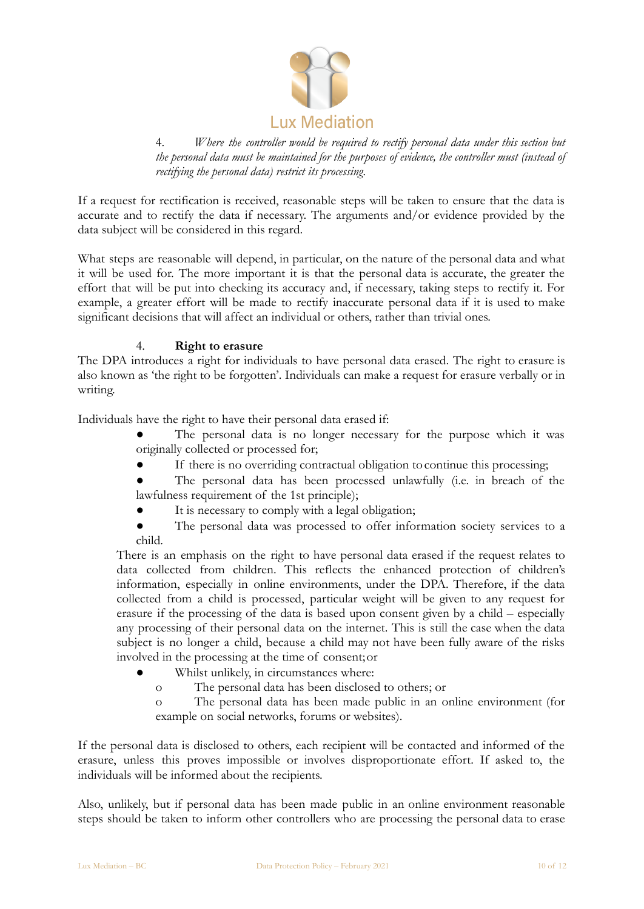

4. *Where the controller would be required to rectify personal data under this section but the personal data must be maintained for the purposes of evidence, the controller must (instead of rectifying the personal data) restrict its processing.*

If a request for rectification is received, reasonable steps will be taken to ensure that the data is accurate and to rectify the data if necessary. The arguments and/or evidence provided by the data subject will be considered in this regard.

What steps are reasonable will depend, in particular, on the nature of the personal data and what it will be used for. The more important it is that the personal data is accurate, the greater the effort that will be put into checking its accuracy and, if necessary, taking steps to rectify it. For example, a greater effort will be made to rectify inaccurate personal data if it is used to make significant decisions that will affect an individual or others, rather than trivial ones.

## 4. **Right to erasure**

The DPA introduces a right for individuals to have personal data erased. The right to erasure is also known as 'the right to be forgotten'. Individuals can make a request for erasure verbally or in writing.

Individuals have the right to have their personal data erased if:

- The personal data is no longer necessary for the purpose which it was originally collected or processed for;
- If there is no overriding contractual obligation to continue this processing;
- The personal data has been processed unlawfully (i.e. in breach of the lawfulness requirement of the 1st principle);
- It is necessary to comply with a legal obligation;
- The personal data was processed to offer information society services to a child.

There is an emphasis on the right to have personal data erased if the request relates to data collected from children. This reflects the enhanced protection of children's information, especially in online environments, under the DPA. Therefore, if the data collected from a child is processed, particular weight will be given to any request for erasure if the processing of the data is based upon consent given by a child – especially any processing of their personal data on the internet. This is still the case when the data subject is no longer a child, because a child may not have been fully aware of the risks involved in the processing at the time of consent;or

- Whilst unlikely, in circumstances where:
	- o The personal data has been disclosed to others; or

o The personal data has been made public in an online environment (for example on social networks, forums or websites).

If the personal data is disclosed to others, each recipient will be contacted and informed of the erasure, unless this proves impossible or involves disproportionate effort. If asked to, the individuals will be informed about the recipients.

Also, unlikely, but if personal data has been made public in an online environment reasonable steps should be taken to inform other controllers who are processing the personal data to erase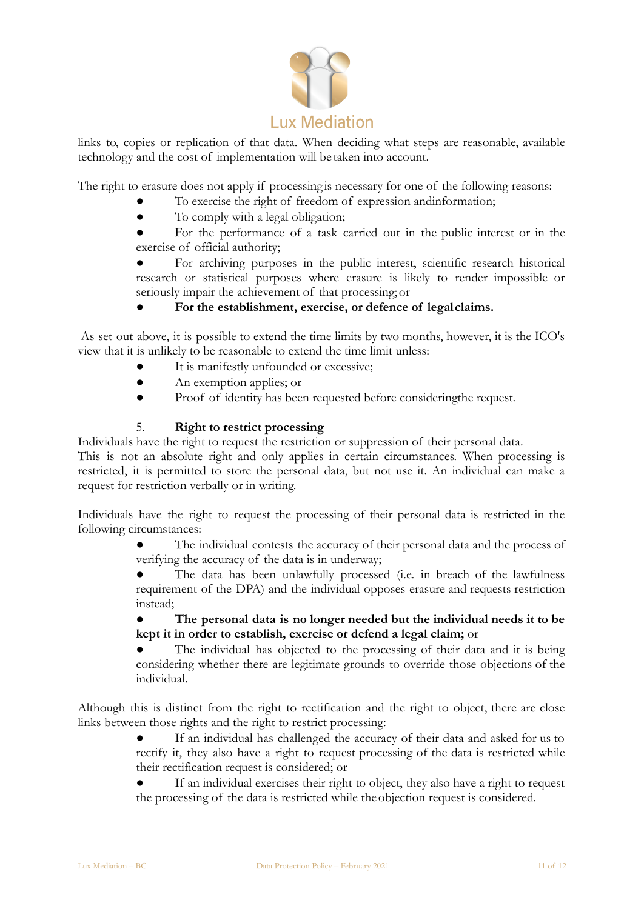

links to, copies or replication of that data. When deciding what steps are reasonable, available technology and the cost of implementation will be taken into account.

The right to erasure does not apply if processing is necessary for one of the following reasons:

- To exercise the right of freedom of expression and information;
- To comply with a legal obligation;

● For the performance of a task carried out in the public interest or in the exercise of official authority;

For archiving purposes in the public interest, scientific research historical research or statistical purposes where erasure is likely to render impossible or seriously impair the achievement of that processing;or

# For the establishment, exercise, or defence of legalclaims.

As set out above, it is possible to extend the time limits by two months, however, it is the ICO's view that it is unlikely to be reasonable to extend the time limit unless:

- It is manifestly unfounded or excessive;
- An exemption applies; or
- Proof of identity has been requested before consideringthe request.

## 5. **Right to restrict processing**

Individuals have the right to request the restriction or suppression of their personal data.

This is not an absolute right and only applies in certain circumstances. When processing is restricted, it is permitted to store the personal data, but not use it. An individual can make a request for restriction verbally or in writing.

Individuals have the right to request the processing of their personal data is restricted in the following circumstances:

> The individual contests the accuracy of their personal data and the process of verifying the accuracy of the data is in underway;

> The data has been unlawfully processed (i.e. in breach of the lawfulness requirement of the DPA) and the individual opposes erasure and requests restriction instead;

> ● **The personal data is no longer needed but the individual needs it to be kept it in order to establish, exercise or defend a legal claim;** or

> The individual has objected to the processing of their data and it is being considering whether there are legitimate grounds to override those objections of the individual.

Although this is distinct from the right to rectification and the right to object, there are close links between those rights and the right to restrict processing:

> If an individual has challenged the accuracy of their data and asked for us to rectify it, they also have a right to request processing of the data is restricted while their rectification request is considered; or

> If an individual exercises their right to object, they also have a right to request the processing of the data is restricted while the objection request is considered.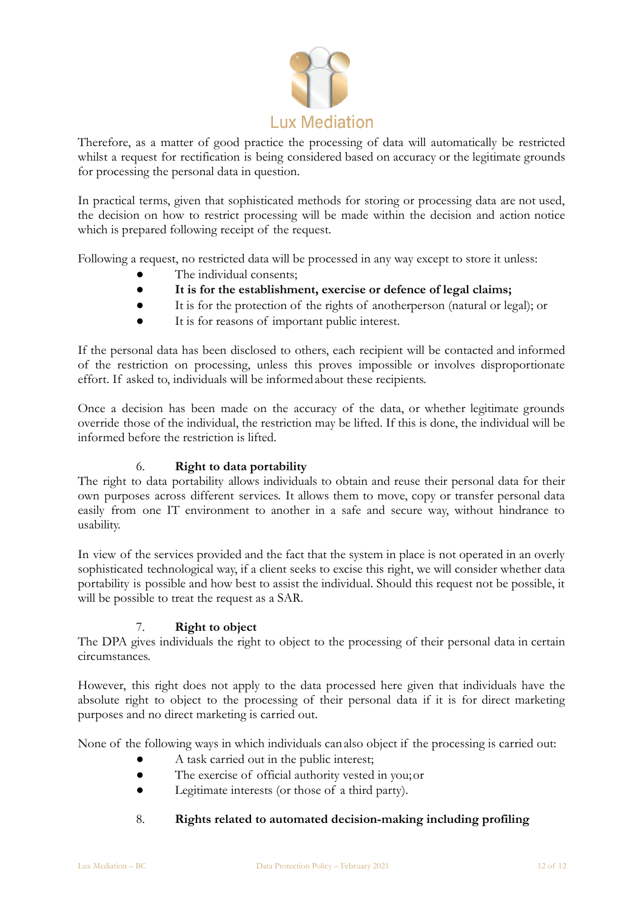

Therefore, as a matter of good practice the processing of data will automatically be restricted whilst a request for rectification is being considered based on accuracy or the legitimate grounds for processing the personal data in question.

In practical terms, given that sophisticated methods for storing or processing data are not used, the decision on how to restrict processing will be made within the decision and action notice which is prepared following receipt of the request.

Following a request, no restricted data will be processed in any way except to store it unless:

- The individual consents;
- **It is for the establishment, exercise or defence of legal claims;**
- It is for the protection of the rights of anotherperson (natural or legal); or
- It is for reasons of important public interest.

If the personal data has been disclosed to others, each recipient will be contacted and informed of the restriction on processing, unless this proves impossible or involves disproportionate effort. If asked to, individuals will be informedabout these recipients.

Once a decision has been made on the accuracy of the data, or whether legitimate grounds override those of the individual, the restriction may be lifted. If this is done, the individual will be informed before the restriction is lifted.

## 6. **Right to data portability**

The right to data portability allows individuals to obtain and reuse their personal data for their own purposes across different services. It allows them to move, copy or transfer personal data easily from one IT environment to another in a safe and secure way, without hindrance to usability.

In view of the services provided and the fact that the system in place is not operated in an overly sophisticated technological way, if a client seeks to excise this right, we will consider whether data portability is possible and how best to assist the individual. Should this request not be possible, it will be possible to treat the request as a SAR.

## 7. **Right to object**

The DPA gives individuals the right to object to the processing of their personal data in certain circumstances.

However, this right does not apply to the data processed here given that individuals have the absolute right to object to the processing of their personal data if it is for direct marketing purposes and no direct marketing is carried out.

None of the following ways in which individuals canalso object if the processing is carried out:

- A task carried out in the public interest;
- The exercise of official authority vested in you;or
- Legitimate interests (or those of a third party).

## 8. **Rights related to automated decision-making including profiling**